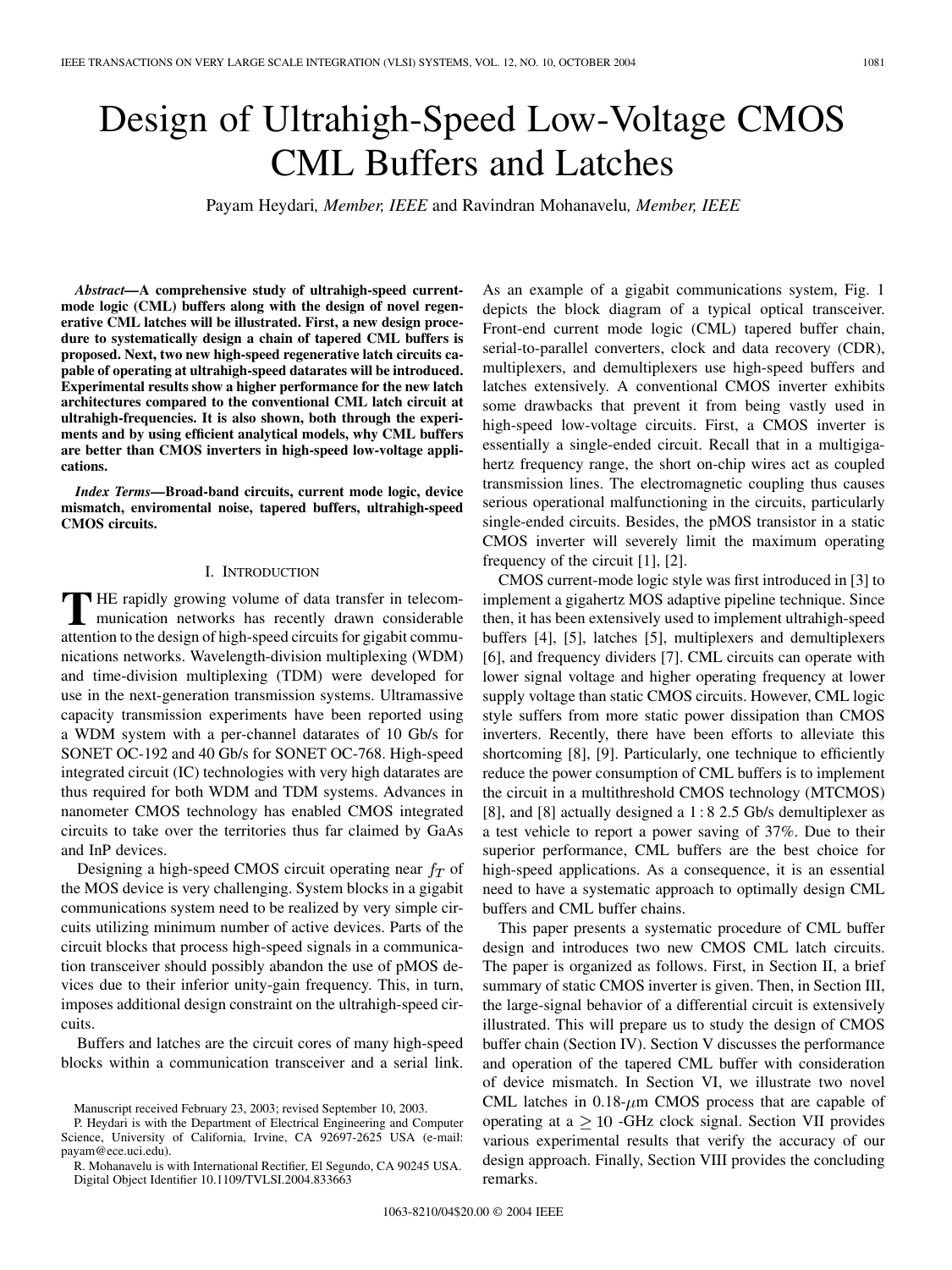# Design of Ultrahigh-Speed Low-Voltage CMOS CML Buffers and Latches

Payam Heydari*, Member, IEEE* and Ravindran Mohanavelu*, Member, IEEE*

*Abstract—***A comprehensive study of ultrahigh-speed currentmode logic (CML) buffers along with the design of novel regenerative CML latches will be illustrated. First, a new design procedure to systematically design a chain of tapered CML buffers is proposed. Next, two new high-speed regenerative latch circuits capable of operating at ultrahigh-speed datarates will be introduced. Experimental results show a higher performance for the new latch architectures compared to the conventional CML latch circuit at ultrahigh-frequencies. It is also shown, both through the experiments and by using efficient analytical models, why CML buffers are better than CMOS inverters in high-speed low-voltage applications.**

*Index Terms—***Broad-band circuits, current mode logic, device mismatch, enviromental noise, tapered buffers, ultrahigh-speed CMOS circuits.**

## I. INTRODUCTION

**T** HE rapidly growing volume of data transfer in telecommunication networks has recently drawn considerable attention to the design of high-speed circuits for gigabit communications networks. Wavelength-division multiplexing (WDM) and time-division multiplexing (TDM) were developed for use in the next-generation transmission systems. Ultramassive capacity transmission experiments have been reported using a WDM system with a per-channel datarates of 10 Gb/s for SONET OC-192 and 40 Gb/s for SONET OC-768. High-speed integrated circuit (IC) technologies with very high datarates are thus required for both WDM and TDM systems. Advances in nanometer CMOS technology has enabled CMOS integrated circuits to take over the territories thus far claimed by GaAs and InP devices.

Designing a high-speed CMOS circuit operating near  $f<sub>T</sub>$  of the MOS device is very challenging. System blocks in a gigabit communications system need to be realized by very simple circuits utilizing minimum number of active devices. Parts of the circuit blocks that process high-speed signals in a communication transceiver should possibly abandon the use of pMOS devices due to their inferior unity-gain frequency. This, in turn, imposes additional design constraint on the ultrahigh-speed circuits.

Buffers and latches are the circuit cores of many high-speed blocks within a communication transceiver and a serial link. As an example of a gigabit communications system, Fig. 1 depicts the block diagram of a typical optical transceiver. Front-end current mode logic (CML) tapered buffer chain, serial-to-parallel converters, clock and data recovery (CDR), multiplexers, and demultiplexers use high-speed buffers and latches extensively. A conventional CMOS inverter exhibits some drawbacks that prevent it from being vastly used in high-speed low-voltage circuits. First, a CMOS inverter is essentially a single-ended circuit. Recall that in a multigigahertz frequency range, the short on-chip wires act as coupled transmission lines. The electromagnetic coupling thus causes serious operational malfunctioning in the circuits, particularly single-ended circuits. Besides, the pMOS transistor in a static CMOS inverter will severely limit the maximum operating frequency of the circuit [\[1](#page-11-0)], [\[2](#page-11-0)].

CMOS current-mode logic style was first introduced in [[3\]](#page-11-0) to implement a gigahertz MOS adaptive pipeline technique. Since then, it has been extensively used to implement ultrahigh-speed buffers [[4\]](#page-11-0), [\[5](#page-11-0)], latches [\[5](#page-11-0)], multiplexers and demultiplexers [\[6](#page-11-0)], and frequency dividers [[7\]](#page-11-0). CML circuits can operate with lower signal voltage and higher operating frequency at lower supply voltage than static CMOS circuits. However, CML logic style suffers from more static power dissipation than CMOS inverters. Recently, there have been efforts to alleviate this shortcoming [[8\]](#page-11-0), [\[9](#page-11-0)]. Particularly, one technique to efficiently reduce the power consumption of CML buffers is to implement the circuit in a multithreshold CMOS technology (MTCMOS) [\[8](#page-11-0)], and [[8\]](#page-11-0) actually designed a 1 : 8 2.5 Gb/s demultiplexer as a test vehicle to report a power saving of 37%. Due to their superior performance, CML buffers are the best choice for high-speed applications. As a consequence, it is an essential need to have a systematic approach to optimally design CML buffers and CML buffer chains.

This paper presents a systematic procedure of CML buffer design and introduces two new CMOS CML latch circuits. The paper is organized as follows. First, in Section II, a brief summary of static CMOS inverter is given. Then, in Section III, the large-signal behavior of a differential circuit is extensively illustrated. This will prepare us to study the design of CMOS buffer chain (Section IV). Section V discusses the performance and operation of the tapered CML buffer with consideration of device mismatch. In Section VI, we illustrate two novel CML latches in  $0.18 - \mu m$  CMOS process that are capable of operating at a  $\geq 10$  -GHz clock signal. Section VII provides various experimental results that verify the accuracy of our design approach. Finally, Section VIII provides the concluding remarks.

Manuscript received February 23, 2003; revised September 10, 2003.

P. Heydari is with the Department of Electrical Engineering and Computer Science, University of California, Irvine, CA 92697-2625 USA (e-mail: payam@ece.uci.edu).

R. Mohanavelu is with International Rectifier, El Segundo, CA 90245 USA. Digital Object Identifier 10.1109/TVLSI.2004.833663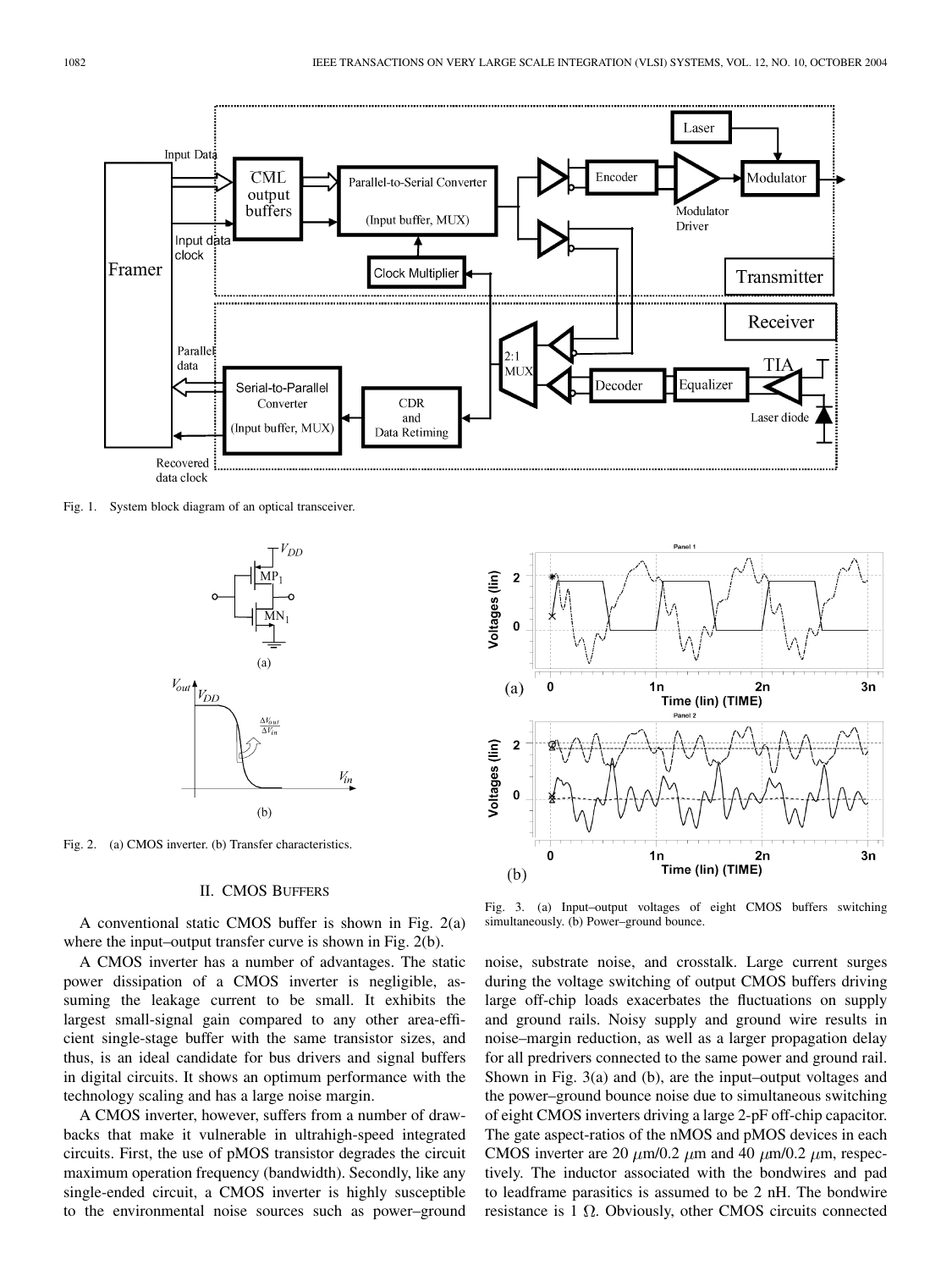

Fig. 1. System block diagram of an optical transceiver.



Fig. 2. (a) CMOS inverter. (b) Transfer characteristics.

#### II. CMOS BUFFERS

A conventional static CMOS buffer is shown in Fig. 2(a) where the input–output transfer curve is shown in Fig. 2(b).

A CMOS inverter has a number of advantages. The static power dissipation of a CMOS inverter is negligible, assuming the leakage current to be small. It exhibits the largest small-signal gain compared to any other area-efficient single-stage buffer with the same transistor sizes, and thus, is an ideal candidate for bus drivers and signal buffers in digital circuits. It shows an optimum performance with the technology scaling and has a large noise margin.

A CMOS inverter, however, suffers from a number of drawbacks that make it vulnerable in ultrahigh-speed integrated circuits. First, the use of pMOS transistor degrades the circuit maximum operation frequency (bandwidth). Secondly, like any single-ended circuit, a CMOS inverter is highly susceptible to the environmental noise sources such as power–ground



Fig. 3. (a) Input–output voltages of eight CMOS buffers switching simultaneously. (b) Power–ground bounce.

noise, substrate noise, and crosstalk. Large current surges during the voltage switching of output CMOS buffers driving large off-chip loads exacerbates the fluctuations on supply and ground rails. Noisy supply and ground wire results in noise–margin reduction, as well as a larger propagation delay for all predrivers connected to the same power and ground rail. Shown in Fig. 3(a) and (b), are the input–output voltages and the power–ground bounce noise due to simultaneous switching of eight CMOS inverters driving a large 2-pF off-chip capacitor. The gate aspect-ratios of the nMOS and pMOS devices in each CMOS inverter are 20  $\mu$ m/0.2  $\mu$ m and 40  $\mu$ m/0.2  $\mu$ m, respectively. The inductor associated with the bondwires and pad to leadframe parasitics is assumed to be 2 nH. The bondwire resistance is 1  $\Omega$ . Obviously, other CMOS circuits connected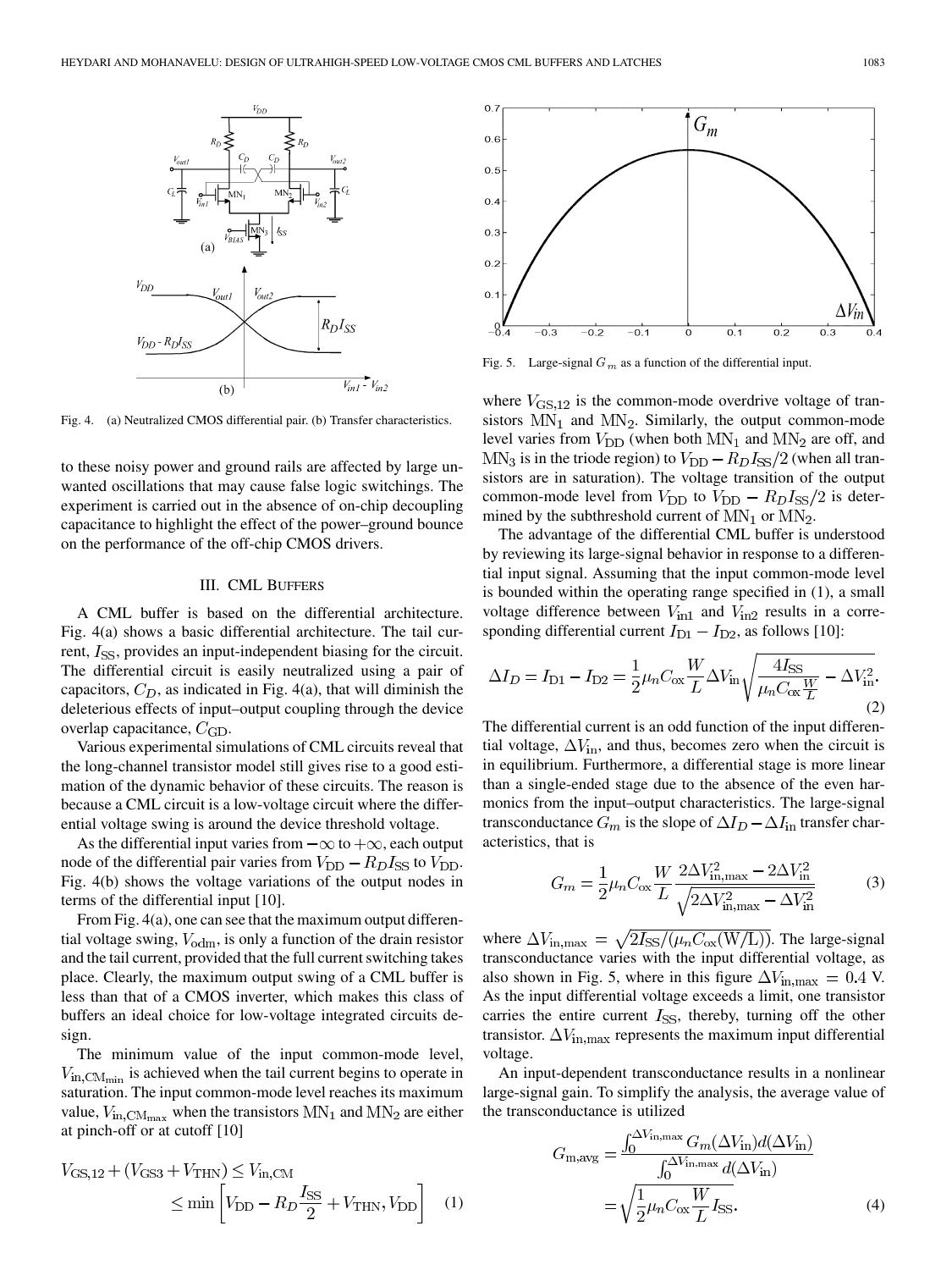

Fig. 4. (a) Neutralized CMOS differential pair. (b) Transfer characteristics.

to these noisy power and ground rails are affected by large unwanted oscillations that may cause false logic switchings. The experiment is carried out in the absence of on-chip decoupling capacitance to highlight the effect of the power–ground bounce on the performance of the off-chip CMOS drivers.

#### III. CML BUFFERS

A CML buffer is based on the differential architecture. Fig. 4(a) shows a basic differential architecture. The tail current,  $I_{SS}$ , provides an input-independent biasing for the circuit. The differential circuit is easily neutralized using a pair of capacitors,  $C_D$ , as indicated in Fig. 4(a), that will diminish the deleterious effects of input–output coupling through the device overlap capacitance,  $C_{\text{GD}}$ .

Various experimental simulations of CML circuits reveal that the long-channel transistor model still gives rise to a good estimation of the dynamic behavior of these circuits. The reason is because a CML circuit is a low-voltage circuit where the differential voltage swing is around the device threshold voltage.

As the differential input varies from  $-\infty$  to  $+\infty$ , each output node of the differential pair varies from  $V_{\text{DD}} - R_D I_{\text{SS}}$  to  $V_{\text{DD}}$ . Fig. 4(b) shows the voltage variations of the output nodes in terms of the differential input [\[10](#page-11-0)].

From Fig. 4(a), one can see that the maximum output differential voltage swing,  $V_{\text{odm}}$ , is only a function of the drain resistor and the tail current, provided that the full current switching takes place. Clearly, the maximum output swing of a CML buffer is less than that of a CMOS inverter, which makes this class of buffers an ideal choice for low-voltage integrated circuits design.

The minimum value of the input common-mode level,  $V_{\text{in,CM}_{\text{min}}}$  is achieved when the tail current begins to operate in saturation. The input common-mode level reaches its maximum value,  $V_{\text{in,CM}_{\text{max}}}$  when the transistors  $MN_1$  and  $MN_2$  are either at pinch-off or at cutoff [[10\]](#page-11-0)

$$
V_{\text{GS},12} + (V_{\text{GS3}} + V_{\text{THN}}) \le V_{\text{in,CM}}
$$
  

$$
\le \min \left[ V_{\text{DD}} - R_D \frac{I_{\text{SS}}}{2} + V_{\text{THN}}, V_{\text{DD}} \right]
$$
 (1)



Fig. 5. Large-signal  $G_m$  as a function of the differential input.

where  $V_{\text{GS},12}$  is the common-mode overdrive voltage of transistors  $MN_1$  and  $MN_2$ . Similarly, the output common-mode level varies from  $V_{\text{DD}}$  (when both  $MN_1$  and  $MN_2$  are off, and  $MN_3$  is in the triode region) to  $V_{DD} - R_D I_{SS}/2$  (when all transistors are in saturation). The voltage transition of the output common-mode level from  $V_{\text{DD}}$  to  $V_{\text{DD}} - R_D I_{\text{SS}}/2$  is determined by the subthreshold current of  $MN_1$  or  $MN_2$ .

The advantage of the differential CML buffer is understood by reviewing its large-signal behavior in response to a differential input signal. Assuming that the input common-mode level is bounded within the operating range specified in (1), a small voltage difference between  $V_{\text{in1}}$  and  $V_{\text{in2}}$  results in a corresponding differential current  $I_{D1} - I_{D2}$ , as follows [\[10\]](#page-11-0):

$$
\Delta I_D = I_{D1} - I_{D2} = \frac{1}{2} \mu_n C_{ox} \frac{W}{L} \Delta V_{in} \sqrt{\frac{4I_{SS}}{\mu_n C_{ox} \frac{W}{L}} - \Delta V_{in}^2}.
$$
\n(2)

The differential current is an odd function of the input differential voltage,  $\Delta V_{\text{in}}$ , and thus, becomes zero when the circuit is in equilibrium. Furthermore, a differential stage is more linear than a single-ended stage due to the absence of the even harmonics from the input–output characteristics. The large-signal transconductance  $G_m$  is the slope of  $\Delta I_D - \Delta I_{\text{in}}$  transfer characteristics, that is

$$
G_m = \frac{1}{2} \mu_n C_{ox} \frac{W}{L} \frac{2\Delta V_{\text{in,max}}^2 - 2\Delta V_{\text{in}}^2}{\sqrt{2\Delta V_{\text{in,max}}^2 - \Delta V_{\text{in}}^2}}
$$
(3)

where  $\Delta V_{\text{in,max}} = \sqrt{2I_{\text{SS}}/(\mu_n C_{\text{ox}}(W/L))}$ . The large-signal transconductance varies with the input differential voltage, as also shown in Fig. 5, where in this figure  $\Delta V_{\text{in,max}} = 0.4$  V. As the input differential voltage exceeds a limit, one transistor carries the entire current  $I_{SS}$ , thereby, turning off the other transistor.  $\Delta V_{\text{in,max}}$  represents the maximum input differential voltage.

An input-dependent transconductance results in a nonlinear large-signal gain. To simplify the analysis, the average value of the transconductance is utilized

$$
G_{\rm m,avg} = \frac{\int_0^{\Delta V_{\rm in,max}} G_m(\Delta V_{\rm in}) d(\Delta V_{\rm in})}{\int_0^{\Delta V_{\rm in,max}} d(\Delta V_{\rm in})}
$$

$$
= \sqrt{\frac{1}{2} \mu_n C_{\rm ox} \frac{W}{L} I_{\rm SS}}.
$$
(4)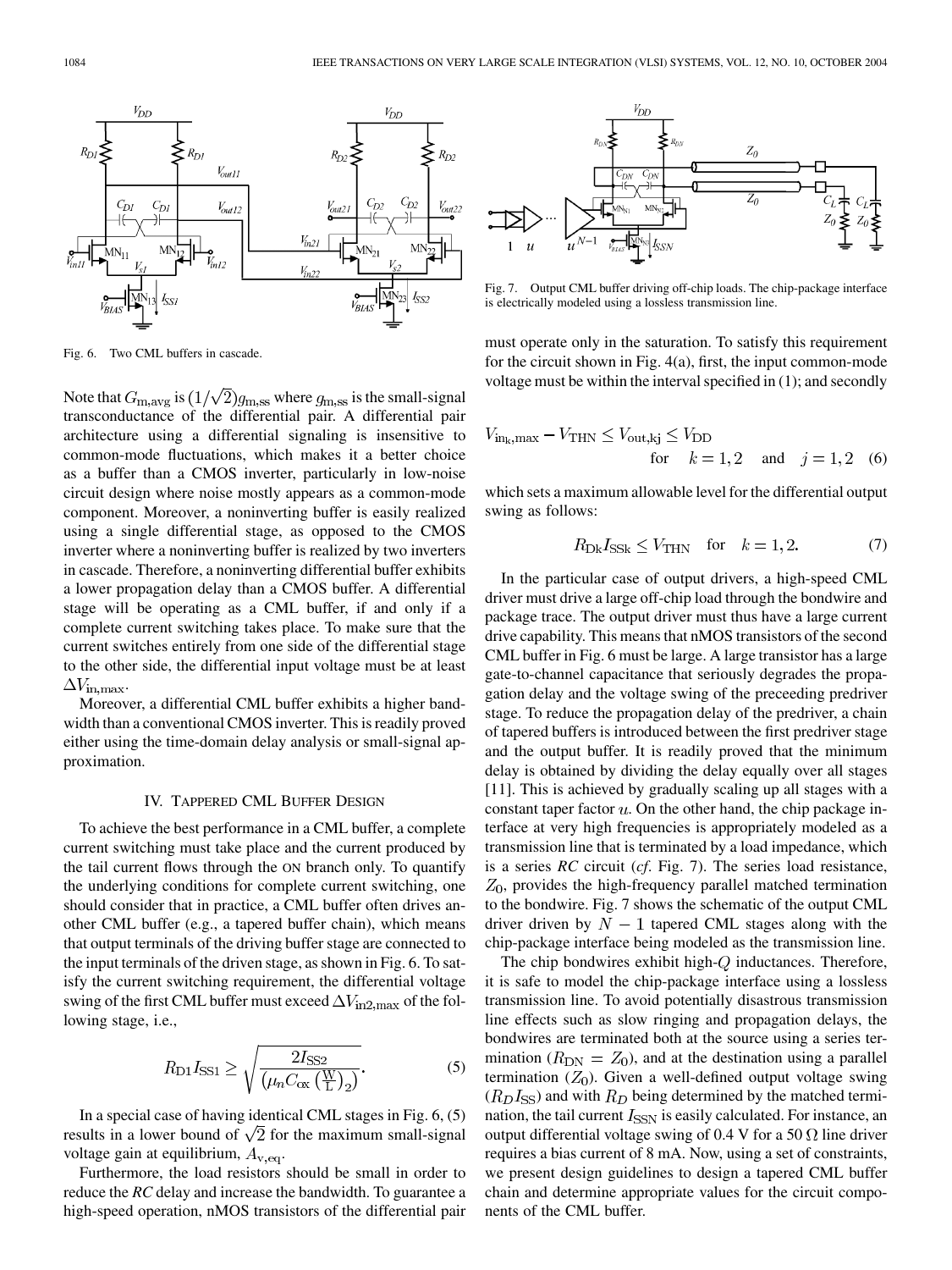

Fig. 6. Two CML buffers in cascade.

Note that  $G_{\rm m,avg}$  is  $\left(1/\sqrt{2}\right)g_{\rm m,ss}$  where  $g_{\rm m,ss}$  is the small-signal transconductance of the differential pair. A differential pair architecture using a differential signaling is insensitive to common-mode fluctuations, which makes it a better choice as a buffer than a CMOS inverter, particularly in low-noise circuit design where noise mostly appears as a common-mode component. Moreover, a noninverting buffer is easily realized using a single differential stage, as opposed to the CMOS inverter where a noninverting buffer is realized by two inverters in cascade. Therefore, a noninverting differential buffer exhibits a lower propagation delay than a CMOS buffer. A differential stage will be operating as a CML buffer, if and only if a complete current switching takes place. To make sure that the current switches entirely from one side of the differential stage to the other side, the differential input voltage must be at least  $\Delta V_{\rm in,max}.$ 

Moreover, a differential CML buffer exhibits a higher bandwidth than a conventional CMOS inverter. This is readily proved either using the time-domain delay analysis or small-signal approximation.

#### IV. TAPPERED CML BUFFER DESIGN

To achieve the best performance in a CML buffer, a complete current switching must take place and the current produced by the tail current flows through the ON branch only. To quantify the underlying conditions for complete current switching, one should consider that in practice, a CML buffer often drives another CML buffer (e.g., a tapered buffer chain), which means that output terminals of the driving buffer stage are connected to the input terminals of the driven stage, as shown in Fig. 6. To satisfy the current switching requirement, the differential voltage swing of the first CML buffer must exceed  $\Delta V_{\rm in2, max}$  of the following stage, i.e.,

$$
R_{\rm D1}I_{\rm SS1} \ge \sqrt{\frac{2I_{\rm SS2}}{\left(\mu_n C_{\rm ox}\left(\frac{\rm W}{\rm L}\right)_2\right)}}.\tag{5}
$$

In a special case of having identical CML stages in Fig. 6, (5) results in a lower bound of  $\sqrt{2}$  for the maximum small-signal voltage gain at equilibrium,  $A_{v,\text{eq}}$ .

Furthermore, the load resistors should be small in order to reduce the *RC* delay and increase the bandwidth. To guarantee a high-speed operation, nMOS transistors of the differential pair



Fig. 7. Output CML buffer driving off-chip loads. The chip-package interface is electrically modeled using a lossless transmission line.

must operate only in the saturation. To satisfy this requirement for the circuit shown in Fig. 4(a), first, the input common-mode voltage must be within the interval specified in (1); and secondly

$$
V_{\text{in}_k, \text{max}} - V_{\text{THN}} \le V_{\text{out}, kj} \le V_{\text{DD}}
$$
  
for  $k = 1, 2$  and  $j = 1, 2$  (6)

which sets a maximum allowable level for the differential output swing as follows:

$$
R_{\text{Dk}}I_{\text{SSk}} \le V_{\text{THN}} \quad \text{for} \quad k = 1, 2. \tag{7}
$$

In the particular case of output drivers, a high-speed CML driver must drive a large off-chip load through the bondwire and package trace. The output driver must thus have a large current drive capability. This means that nMOS transistors of the second CML buffer in Fig. 6 must be large. A large transistor has a large gate-to-channel capacitance that seriously degrades the propagation delay and the voltage swing of the preceeding predriver stage. To reduce the propagation delay of the predriver, a chain of tapered buffers is introduced between the first predriver stage and the output buffer. It is readily proved that the minimum delay is obtained by dividing the delay equally over all stages [[11\]](#page-11-0). This is achieved by gradually scaling up all stages with a constant taper factor  $u$ . On the other hand, the chip package interface at very high frequencies is appropriately modeled as a transmission line that is terminated by a load impedance, which is a series *RC* circuit (*cf*. Fig. 7). The series load resistance,  $Z_0$ , provides the high-frequency parallel matched termination to the bondwire. Fig. 7 shows the schematic of the output CML driver driven by  $N-1$  tapered CML stages along with the chip-package interface being modeled as the transmission line.

The chip bondwires exhibit high- $Q$  inductances. Therefore, it is safe to model the chip-package interface using a lossless transmission line. To avoid potentially disastrous transmission line effects such as slow ringing and propagation delays, the bondwires are terminated both at the source using a series termination ( $R_{\text{DN}} = Z_0$ ), and at the destination using a parallel termination  $(Z_0)$ . Given a well-defined output voltage swing  $(R_D I_{SS})$  and with  $R_D$  being determined by the matched termination, the tail current  $I_{SSN}$  is easily calculated. For instance, an output differential voltage swing of 0.4 V for a 50  $\Omega$  line driver requires a bias current of 8 mA. Now, using a set of constraints, we present design guidelines to design a tapered CML buffer chain and determine appropriate values for the circuit components of the CML buffer.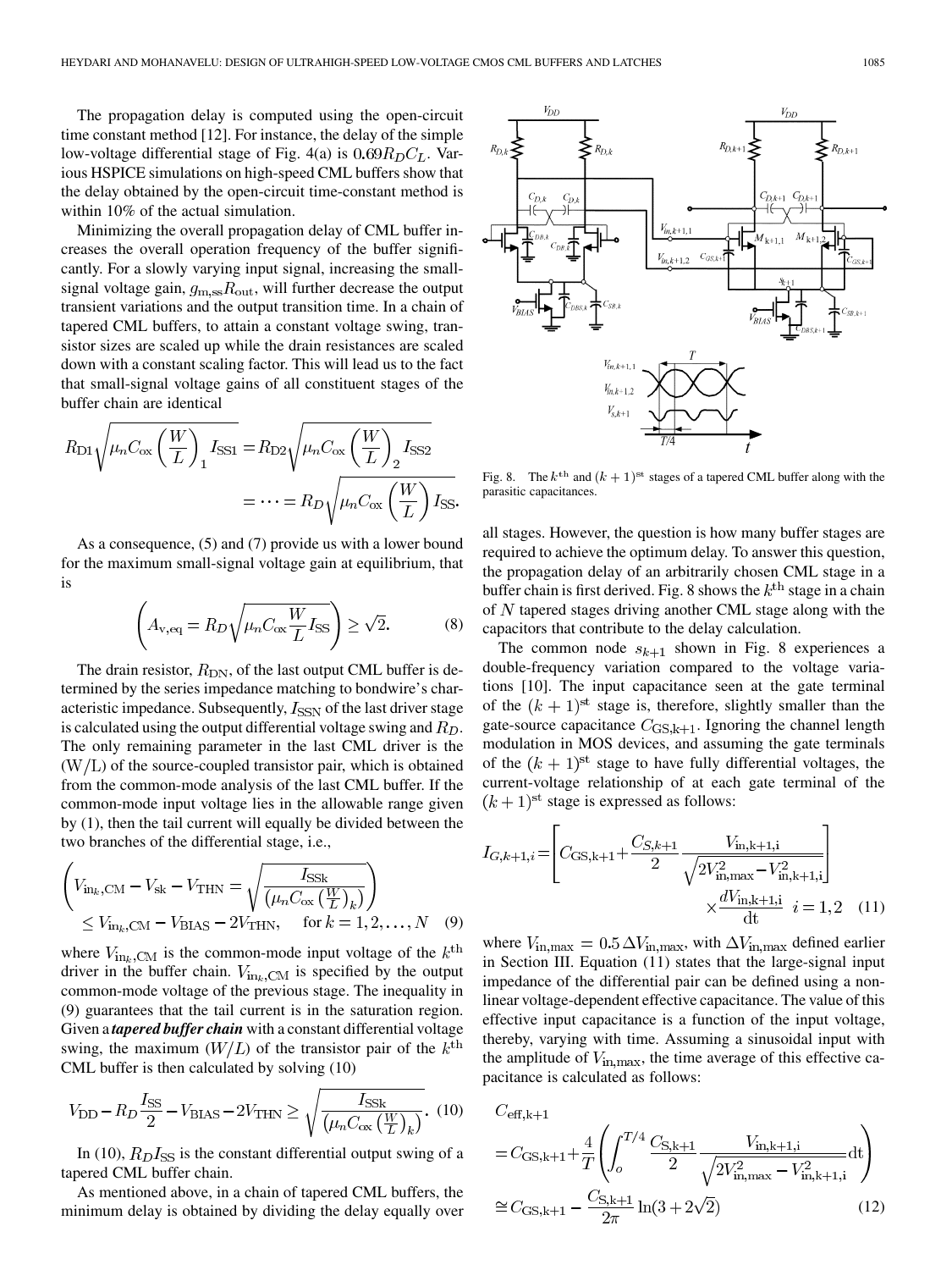The propagation delay is computed using the open-circuit time constant method [[12\]](#page-11-0). For instance, the delay of the simple low-voltage differential stage of Fig. 4(a) is  $0.69R_D C_L$ . Various HSPICE simulations on high-speed CML buffers show that the delay obtained by the open-circuit time-constant method is within 10% of the actual simulation.

Minimizing the overall propagation delay of CML buffer increases the overall operation frequency of the buffer significantly. For a slowly varying input signal, increasing the smallsignal voltage gain,  $g_{\text{m,ss}} R_{\text{out}}$ , will further decrease the output transient variations and the output transition time. In a chain of tapered CML buffers, to attain a constant voltage swing, transistor sizes are scaled up while the drain resistances are scaled down with a constant scaling factor. This will lead us to the fact that small-signal voltage gains of all constituent stages of the buffer chain are identical

$$
R_{\rm D1}\sqrt{\mu_n C_{\rm ox}\left(\frac{W}{L}\right)_1 I_{\rm SS1}} = R_{\rm D2}\sqrt{\mu_n C_{\rm ox}\left(\frac{W}{L}\right)_2 I_{\rm SS2}}
$$
  
=  $\cdots = R_D\sqrt{\mu_n C_{\rm ox}\left(\frac{W}{L}\right) I_{\rm SS}}.$ 

As a consequence, (5) and (7) provide us with a lower bound for the maximum small-signal voltage gain at equilibrium, that is

$$
\left(A_{\mathbf{v},\text{eq}} = R_D \sqrt{\mu_n C_{\text{ox}} \frac{W}{L} I_{\text{SS}}}\right) \ge \sqrt{2}.\tag{8}
$$

The drain resistor,  $R_{\text{DN}}$ , of the last output CML buffer is determined by the series impedance matching to bondwire's characteristic impedance. Subsequently,  $I_{\text{SSN}}$  of the last driver stage is calculated using the output differential voltage swing and  $R_D$ . The only remaining parameter in the last CML driver is the  $(W/L)$  of the source-coupled transistor pair, which is obtained from the common-mode analysis of the last CML buffer. If the common-mode input voltage lies in the allowable range given by (1), then the tail current will equally be divided between the two branches of the differential stage, i.e.,

$$
\left(V_{\text{in}_k, \text{CM}} - V_{\text{sk}} - V_{\text{THN}} = \sqrt{\frac{I_{\text{SSk}}}{(\mu_n C_{\text{ox}}(\frac{W}{L})_k)}}\right) \leq V_{\text{in}_k, \text{CM}} - V_{\text{BIAS}} - 2V_{\text{THN}}, \quad \text{for } k = 1, 2, ..., N \quad (9)
$$

where  $V_{\text{in}_k, \text{CM}}$  is the common-mode input voltage of the  $k^{\text{th}}$ driver in the buffer chain.  $V_{\text{in}_k, \text{CM}}$  is specified by the output common-mode voltage of the previous stage. The inequality in (9) guarantees that the tail current is in the saturation region. Given a *tapered buffer chain* with a constant differential voltage swing, the maximum  $(W/L)$  of the transistor pair of the  $k^{\text{th}}$ CML buffer is then calculated by solving (10)

$$
V_{\rm DD} - R_D \frac{I_{\rm SS}}{2} - V_{\rm BIAS} - 2V_{\rm THN} \ge \sqrt{\frac{I_{\rm SSk}}{\left(\mu_n C_{\rm ox} \left(\frac{W}{L}\right)_k\right)}}. (10)
$$

In (10),  $R_D I_{SS}$  is the constant differential output swing of a tapered CML buffer chain.

As mentioned above, in a chain of tapered CML buffers, the minimum delay is obtained by dividing the delay equally over



Fig. 8. The  $k^{\text{th}}$  and  $(k + 1)^{\text{st}}$  stages of a tapered CML buffer along with the parasitic capacitances.

all stages. However, the question is how many buffer stages are required to achieve the optimum delay. To answer this question, the propagation delay of an arbitrarily chosen CML stage in a buffer chain is first derived. Fig. 8 shows the  $k<sup>th</sup>$  stage in a chain of  $N$  tapered stages driving another CML stage along with the capacitors that contribute to the delay calculation.

The common node  $s_{k+1}$  shown in Fig. 8 experiences a double-frequency variation compared to the voltage variations [[10\]](#page-11-0). The input capacitance seen at the gate terminal of the  $(k + 1)$ <sup>st</sup> stage is, therefore, slightly smaller than the gate-source capacitance  $C_{\text{GS},k+1}$ . Ignoring the channel length modulation in MOS devices, and assuming the gate terminals of the  $(k + 1)$ <sup>st</sup> stage to have fully differential voltages, the current-voltage relationship of at each gate terminal of the  $(k+1)$ <sup>st</sup> stage is expressed as follows:

$$
I_{G,k+1,i} = \n\left[ C_{\text{GS},k+1} + \frac{C_{S,k+1}}{2} \frac{V_{\text{in},k+1,i}}{\sqrt{2V_{\text{in},\text{max}}^2 - V_{\text{in},k+1,i}^2}} \right]\n\times \frac{dV_{\text{in},k+1,i}}{\text{d}t} \quad i = 1,2 \quad (11)
$$

where  $V_{\text{in,max}} = 0.5 \Delta V_{\text{in,max}}$ , with  $\Delta V_{\text{in,max}}$  defined earlier in Section III. Equation (11) states that the large-signal input impedance of the differential pair can be defined using a nonlinear voltage-dependent effective capacitance. The value of this effective input capacitance is a function of the input voltage, thereby, varying with time. Assuming a sinusoidal input with the amplitude of  $V_{\text{in,max}}$ , the time average of this effective capacitance is calculated as follows:

$$
C_{\text{eff},k+1}
$$
  
=  $C_{\text{GS},k+1} + \frac{4}{T} \left( \int_0^{T/4} \frac{C_{\text{S},k+1}}{2} \frac{V_{\text{in},k+1,i}}{\sqrt{2V_{\text{in},\text{max}}^2 - V_{\text{in},k+1,i}^2}} dt \right)$   

$$
\approx C_{\text{GS},k+1} - \frac{C_{\text{S},k+1}}{2\pi} \ln(3 + 2\sqrt{2})
$$
(12)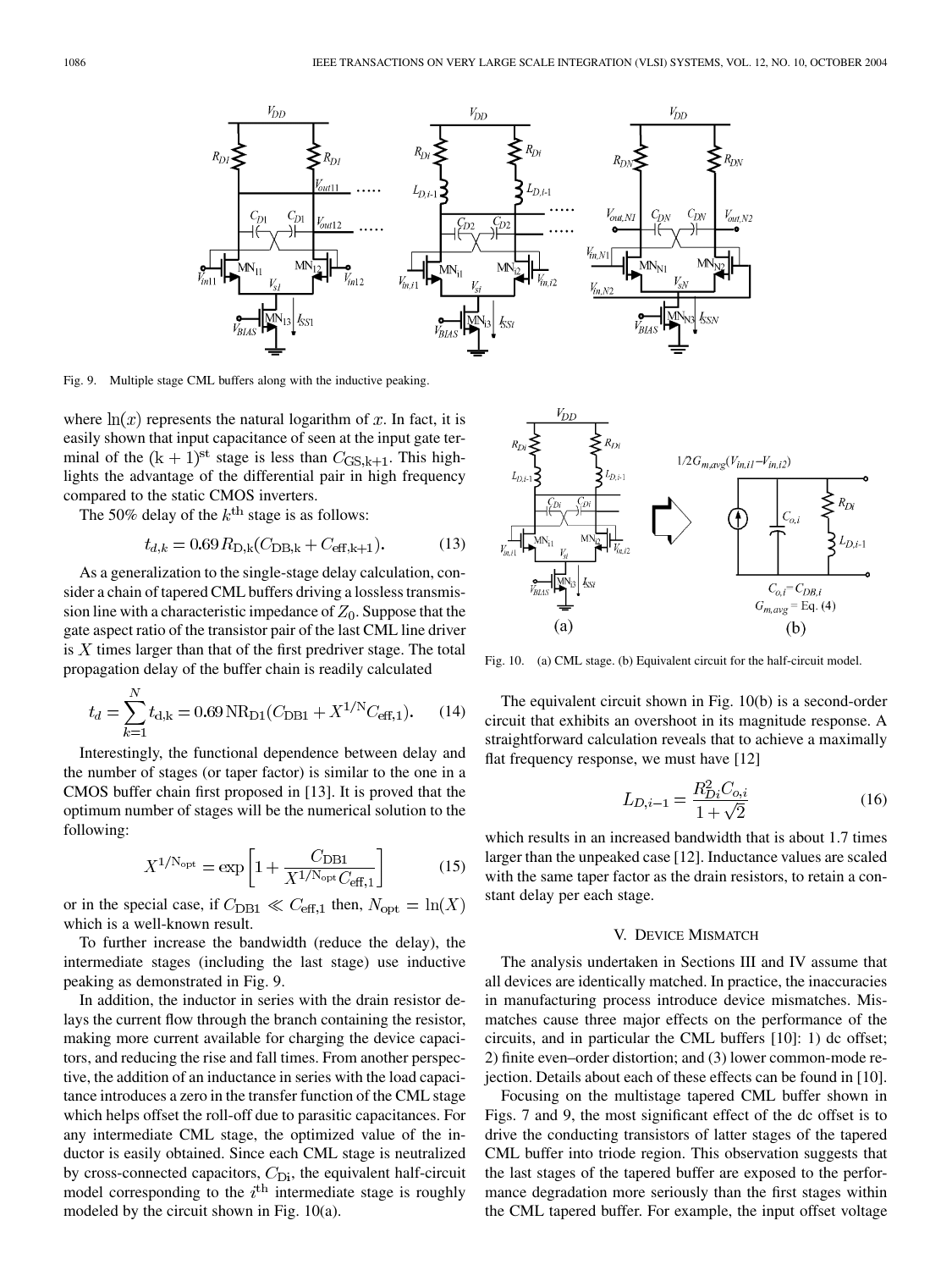

Fig. 9. Multiple stage CML buffers along with the inductive peaking.

where  $\ln(x)$  represents the natural logarithm of x. In fact, it is easily shown that input capacitance of seen at the input gate terminal of the  $(k + 1)$ <sup>st</sup> stage is less than  $C_{\text{GS},k+1}$ . This highlights the advantage of the differential pair in high frequency compared to the static CMOS inverters.

The 50% delay of the  $k^{\text{th}}$  stage is as follows:

$$
t_{d,k} = 0.69 R_{D,k} (C_{\text{DB},k} + C_{\text{eff},k+1}). \tag{13}
$$

As a generalization to the single-stage delay calculation, consider a chain of tapered CML buffers driving a lossless transmission line with a characteristic impedance of  $Z_0$ . Suppose that the gate aspect ratio of the transistor pair of the last CML line driver is  $X$  times larger than that of the first predriver stage. The total propagation delay of the buffer chain is readily calculated

$$
t_d = \sum_{k=1}^{N} t_{d,k} = 0.69 \text{NR}_{D1}(C_{\text{DB1}} + X^{1/N} C_{\text{eff},1}).
$$
 (14)

Interestingly, the functional dependence between delay and the number of stages (or taper factor) is similar to the one in a CMOS buffer chain first proposed in [\[13](#page-11-0)]. It is proved that the optimum number of stages will be the numerical solution to the following:

$$
X^{1/N_{\rm opt}} = \exp\left[1 + \frac{C_{\rm DB1}}{X^{1/N_{\rm opt}} C_{\rm eff,1}}\right]
$$
 (15)

or in the special case, if  $C_{DB1} \ll C_{\text{eff,1}}$  then,  $N_{\text{opt}} = \ln(X)$ which is a well-known result.

To further increase the bandwidth (reduce the delay), the intermediate stages (including the last stage) use inductive peaking as demonstrated in Fig. 9.

In addition, the inductor in series with the drain resistor delays the current flow through the branch containing the resistor, making more current available for charging the device capacitors, and reducing the rise and fall times. From another perspective, the addition of an inductance in series with the load capacitance introduces a zero in the transfer function of the CML stage which helps offset the roll-off due to parasitic capacitances. For any intermediate CML stage, the optimized value of the inductor is easily obtained. Since each CML stage is neutralized by cross-connected capacitors,  $C_{\text{Di}}$ , the equivalent half-circuit model corresponding to the  $i<sup>th</sup>$  intermediate stage is roughly modeled by the circuit shown in Fig. 10(a).



Fig. 10. (a) CML stage. (b) Equivalent circuit for the half-circuit model.

The equivalent circuit shown in Fig. 10(b) is a second-order circuit that exhibits an overshoot in its magnitude response. A straightforward calculation reveals that to achieve a maximally flat frequency response, we must have [\[12](#page-11-0)]

$$
L_{D,i-1} = \frac{R_{Di}^2 C_{o,i}}{1 + \sqrt{2}}
$$
 (16)

which results in an increased bandwidth that is about 1.7 times larger than the unpeaked case [[12\]](#page-11-0). Inductance values are scaled with the same taper factor as the drain resistors, to retain a constant delay per each stage.

## V. DEVICE MISMATCH

The analysis undertaken in Sections III and IV assume that all devices are identically matched. In practice, the inaccuracies in manufacturing process introduce device mismatches. Mismatches cause three major effects on the performance of the circuits, and in particular the CML buffers [\[10](#page-11-0)]: 1) dc offset; 2) finite even–order distortion; and (3) lower common-mode rejection. Details about each of these effects can be found in [[10\]](#page-11-0).

Focusing on the multistage tapered CML buffer shown in Figs. 7 and 9, the most significant effect of the dc offset is to drive the conducting transistors of latter stages of the tapered CML buffer into triode region. This observation suggests that the last stages of the tapered buffer are exposed to the performance degradation more seriously than the first stages within the CML tapered buffer. For example, the input offset voltage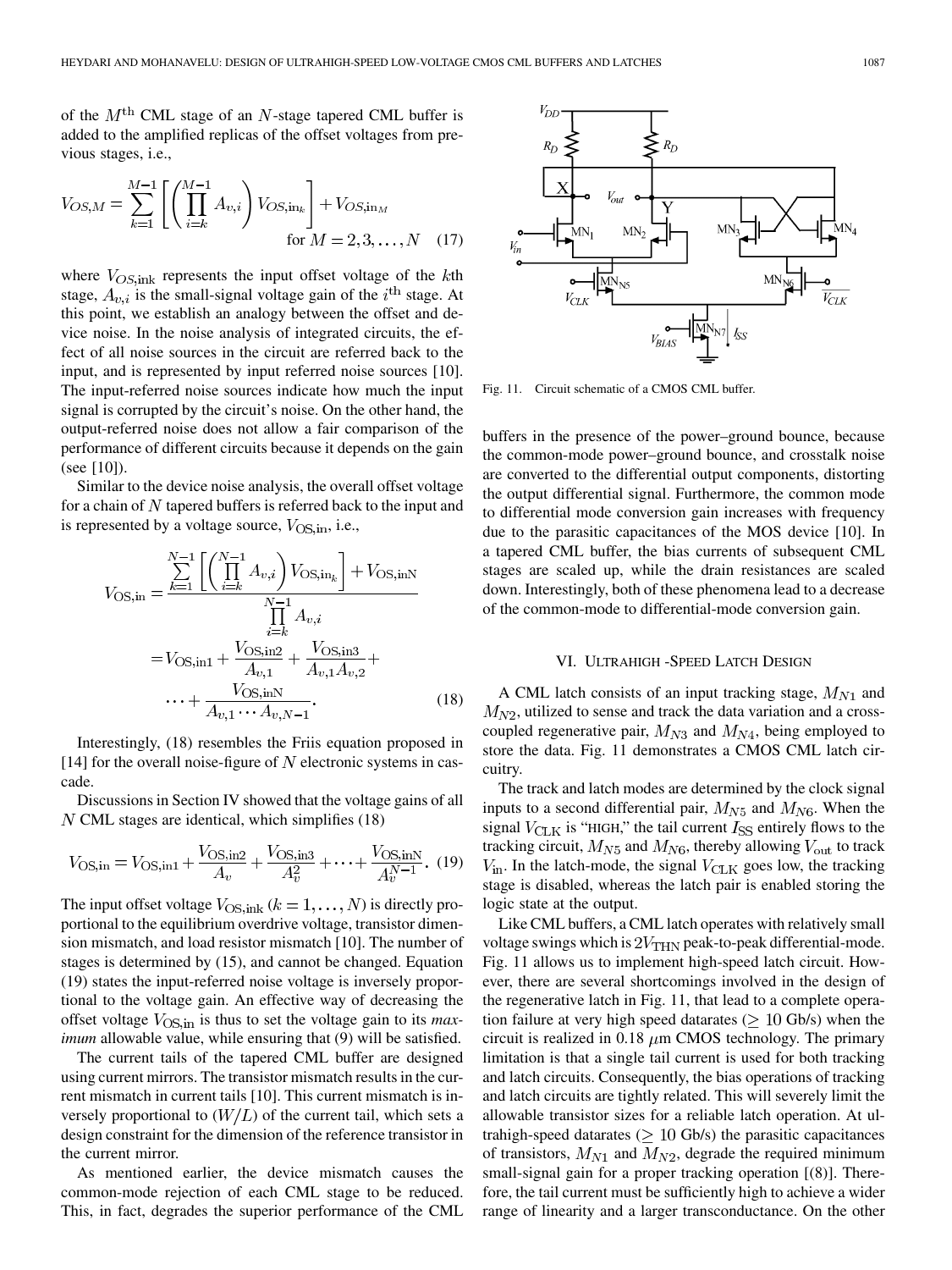of the  $M<sup>th</sup>$  CML stage of an N-stage tapered CML buffer is added to the amplified replicas of the offset voltages from previous stages, i.e.,

$$
V_{OS,M} = \sum_{k=1}^{M-1} \left[ \left( \prod_{i=k}^{M-1} A_{v,i} \right) V_{OS,\text{in}_k} \right] + V_{OS,\text{in}_M}
$$
  
for  $M = 2, 3, ..., N$  (17)

where  $V_{OS,ink}$  represents the input offset voltage of the  $k$ th stage,  $A_{v,i}$  is the small-signal voltage gain of the  $i^{\text{th}}$  stage. At this point, we establish an analogy between the offset and device noise. In the noise analysis of integrated circuits, the effect of all noise sources in the circuit are referred back to the input, and is represented by input referred noise sources [\[10](#page-11-0)]. The input-referred noise sources indicate how much the input signal is corrupted by the circuit's noise. On the other hand, the output-referred noise does not allow a fair comparison of the performance of different circuits because it depends on the gain (see [\[10](#page-11-0)]).

Similar to the device noise analysis, the overall offset voltage for a chain of  $N$  tapered buffers is referred back to the input and is represented by a voltage source,  $V_{OS,in}$ , i.e.,

$$
V_{\text{OS,in}} = \frac{\sum_{k=1}^{N-1} \left[ \left( \prod_{i=k}^{N-1} A_{v,i} \right) V_{\text{OS,in}_k} \right] + V_{\text{OS,inN}}}{\prod_{i=k}^{N-1} A_{v,i}}
$$

$$
= V_{\text{OS,in1}} + \frac{V_{\text{OS,in2}}}{A_{v,1}} + \frac{V_{\text{OS,in3}}}{A_{v,1}A_{v,2}} + \frac{V_{\text{OS,in3}}}{A_{v,1}A_{v,2}} + \frac{V_{\text{OS,inN}}}{A_{v,1} \cdots A_{v,N-1}}.
$$
(18)

Interestingly, (18) resembles the Friis equation proposed in [\[14](#page-11-0)] for the overall noise-figure of  $N$  electronic systems in cascade.

Discussions in Section IV showed that the voltage gains of all  $N$  CML stages are identical, which simplifies  $(18)$ 

$$
V_{\rm OS, in} = V_{\rm OS, in1} + \frac{V_{\rm OS, in2}}{A_v} + \frac{V_{\rm OS, in3}}{A_v^2} + \dots + \frac{V_{\rm OS, inN}}{A_v^{N-1}}.
$$
 (19)

The input offset voltage  $V_{OS,ink}$   $(k = 1, ..., N)$  is directly proportional to the equilibrium overdrive voltage, transistor dimension mismatch, and load resistor mismatch [\[10](#page-11-0)]. The number of stages is determined by (15), and cannot be changed. Equation (19) states the input-referred noise voltage is inversely proportional to the voltage gain. An effective way of decreasing the offset voltage  $V_{OS,in}$  is thus to set the voltage gain to its *maximum* allowable value, while ensuring that (9) will be satisfied.

The current tails of the tapered CML buffer are designed using current mirrors. The transistor mismatch results in the current mismatch in current tails [[10\]](#page-11-0). This current mismatch is inversely proportional to  $(W/L)$  of the current tail, which sets a design constraint for the dimension of the reference transistor in the current mirror.

As mentioned earlier, the device mismatch causes the common-mode rejection of each CML stage to be reduced. This, in fact, degrades the superior performance of the CML



Fig. 11. Circuit schematic of a CMOS CML buffer.

buffers in the presence of the power–ground bounce, because the common-mode power–ground bounce, and crosstalk noise are converted to the differential output components, distorting the output differential signal. Furthermore, the common mode to differential mode conversion gain increases with frequency due to the parasitic capacitances of the MOS device [\[10](#page-11-0)]. In a tapered CML buffer, the bias currents of subsequent CML stages are scaled up, while the drain resistances are scaled down. Interestingly, both of these phenomena lead to a decrease of the common-mode to differential-mode conversion gain.

## VI. ULTRAHIGH -SPEED LATCH DESIGN

A CML latch consists of an input tracking stage,  $M_{N1}$  and  $M_{N2}$ , utilized to sense and track the data variation and a crosscoupled regenerative pair,  $M_{N3}$  and  $M_{N4}$ , being employed to store the data. Fig. 11 demonstrates a CMOS CML latch circuitry.

The track and latch modes are determined by the clock signal inputs to a second differential pair,  $M_{N5}$  and  $M_{N6}$ . When the signal  $V_{\text{CLK}}$  is "HIGH," the tail current  $I_{\text{SS}}$  entirely flows to the tracking circuit,  $M_{N5}$  and  $M_{N6}$ , thereby allowing  $V_{\text{out}}$  to track  $V_{\text{in}}$ . In the latch-mode, the signal  $V_{\text{CLK}}$  goes low, the tracking stage is disabled, whereas the latch pair is enabled storing the logic state at the output.

Like CML buffers, a CML latch operates with relatively small voltage swings which is  $2V<sub>THN</sub>$  peak-to-peak differential-mode. Fig. 11 allows us to implement high-speed latch circuit. However, there are several shortcomings involved in the design of the regenerative latch in Fig. 11, that lead to a complete operation failure at very high speed datarates ( $\geq 10$  Gb/s) when the circuit is realized in 0.18  $\mu$ m CMOS technology. The primary limitation is that a single tail current is used for both tracking and latch circuits. Consequently, the bias operations of tracking and latch circuits are tightly related. This will severely limit the allowable transistor sizes for a reliable latch operation. At ultrahigh-speed datarates ( $\geq 10$  Gb/s) the parasitic capacitances of transistors,  $M_{N1}$  and  $M_{N2}$ , degrade the required minimum small-signal gain for a proper tracking operation [(8)]. Therefore, the tail current must be sufficiently high to achieve a wider range of linearity and a larger transconductance. On the other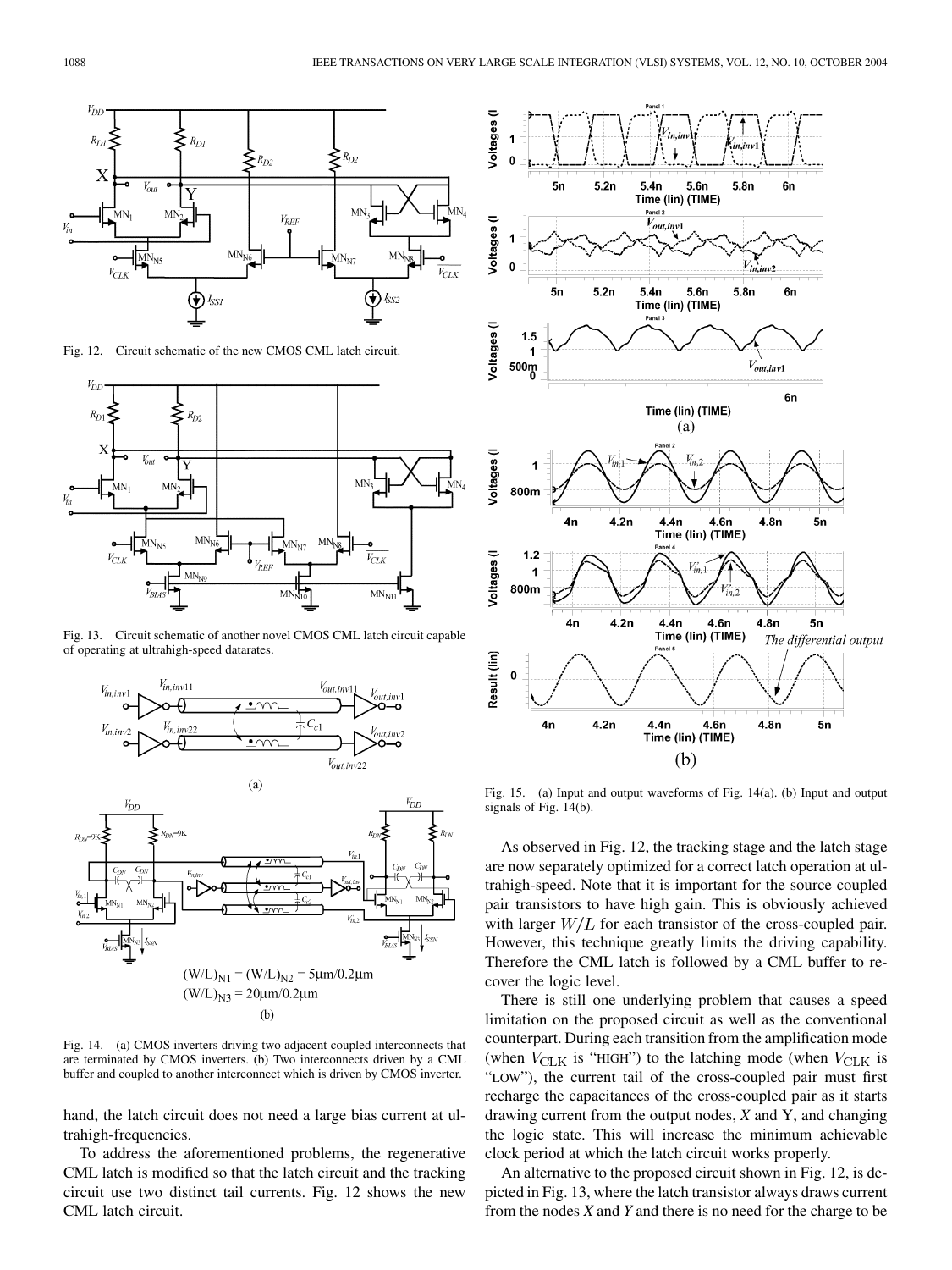

Fig. 12. Circuit schematic of the new CMOS CML latch circuit.



Fig. 13. Circuit schematic of another novel CMOS CML latch circuit capable of operating at ultrahigh-speed datarates.



Fig. 14. (a) CMOS inverters driving two adjacent coupled interconnects that are terminated by CMOS inverters. (b) Two interconnects driven by a CML buffer and coupled to another interconnect which is driven by CMOS inverter.

hand, the latch circuit does not need a large bias current at ultrahigh-frequencies.

To address the aforementioned problems, the regenerative CML latch is modified so that the latch circuit and the tracking circuit use two distinct tail currents. Fig. 12 shows the new CML latch circuit.



Fig. 15. (a) Input and output waveforms of Fig. 14(a). (b) Input and output signals of Fig. 14(b).

As observed in Fig. 12, the tracking stage and the latch stage are now separately optimized for a correct latch operation at ultrahigh-speed. Note that it is important for the source coupled pair transistors to have high gain. This is obviously achieved with larger  $W/L$  for each transistor of the cross-coupled pair. However, this technique greatly limits the driving capability. Therefore the CML latch is followed by a CML buffer to recover the logic level.

There is still one underlying problem that causes a speed limitation on the proposed circuit as well as the conventional counterpart. During each transition from the amplification mode (when  $V_{\text{CLK}}$  is "HIGH") to the latching mode (when  $V_{\text{CLK}}$  is "LOW"), the current tail of the cross-coupled pair must first recharge the capacitances of the cross-coupled pair as it starts drawing current from the output nodes, *X* and Y, and changing the logic state. This will increase the minimum achievable clock period at which the latch circuit works properly.

An alternative to the proposed circuit shown in Fig. 12, is depicted in Fig. 13, where the latch transistor always draws current from the nodes *X* and *Y* and there is no need for the charge to be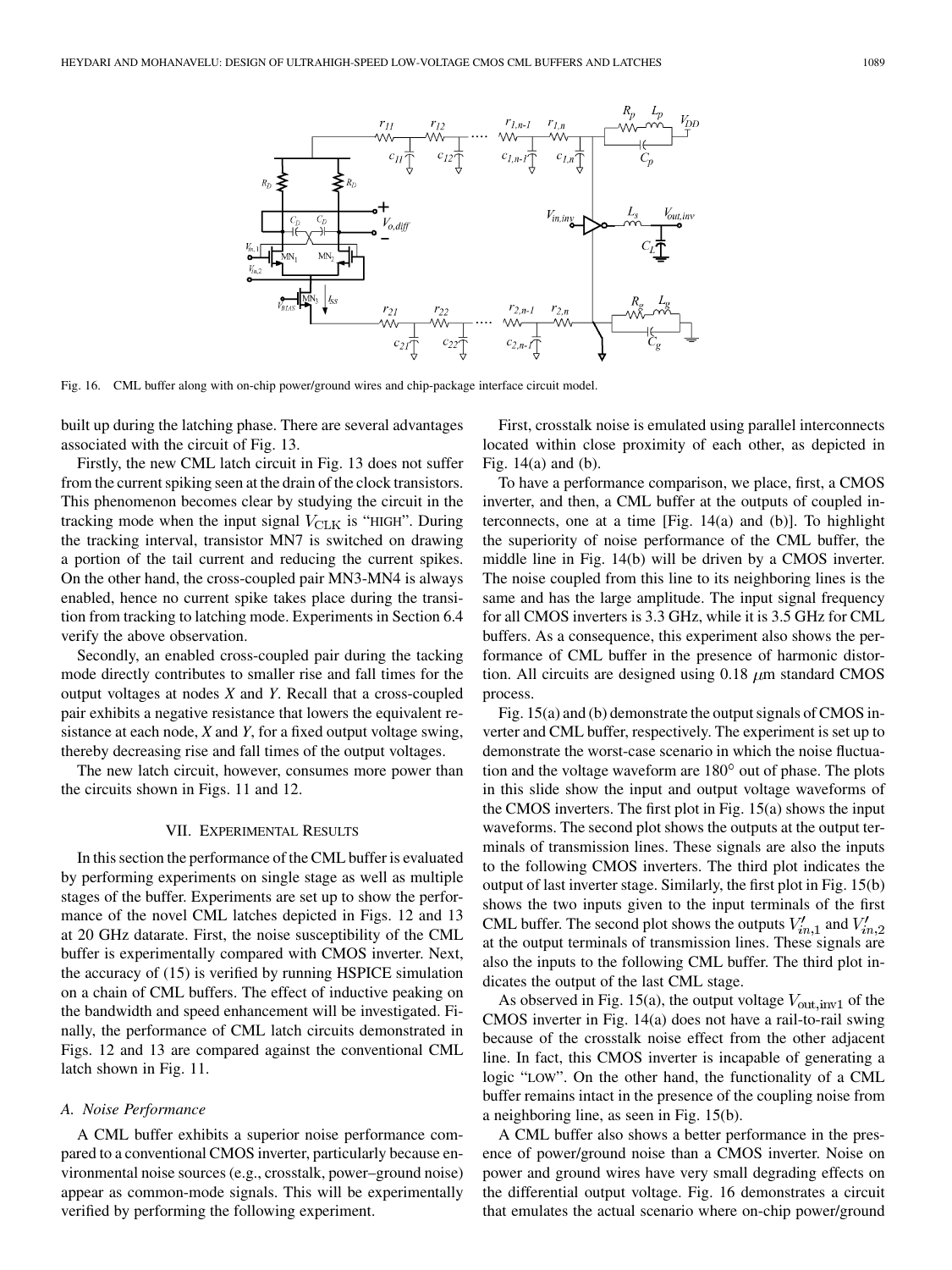

Fig. 16. CML buffer along with on-chip power/ground wires and chip-package interface circuit model.

built up during the latching phase. There are several advantages associated with the circuit of Fig. 13.

Firstly, the new CML latch circuit in Fig. 13 does not suffer from the current spiking seen at the drain of the clock transistors. This phenomenon becomes clear by studying the circuit in the tracking mode when the input signal  $V_{\text{CLK}}$  is "HIGH". During the tracking interval, transistor MN7 is switched on drawing a portion of the tail current and reducing the current spikes. On the other hand, the cross-coupled pair MN3-MN4 is always enabled, hence no current spike takes place during the transition from tracking to latching mode. Experiments in Section 6.4 verify the above observation.

Secondly, an enabled cross-coupled pair during the tacking mode directly contributes to smaller rise and fall times for the output voltages at nodes *X* and *Y*. Recall that a cross-coupled pair exhibits a negative resistance that lowers the equivalent resistance at each node, *X* and *Y*, for a fixed output voltage swing, thereby decreasing rise and fall times of the output voltages.

The new latch circuit, however, consumes more power than the circuits shown in Figs. 11 and 12.

## VII. EXPERIMENTAL RESULTS

In this section the performance of the CML buffer is evaluated by performing experiments on single stage as well as multiple stages of the buffer. Experiments are set up to show the performance of the novel CML latches depicted in Figs. 12 and 13 at 20 GHz datarate. First, the noise susceptibility of the CML buffer is experimentally compared with CMOS inverter. Next, the accuracy of (15) is verified by running HSPICE simulation on a chain of CML buffers. The effect of inductive peaking on the bandwidth and speed enhancement will be investigated. Finally, the performance of CML latch circuits demonstrated in Figs. 12 and 13 are compared against the conventional CML latch shown in Fig. 11.

## *A. Noise Performance*

A CML buffer exhibits a superior noise performance compared to a conventional CMOS inverter, particularly because environmental noise sources (e.g., crosstalk, power–ground noise) appear as common-mode signals. This will be experimentally verified by performing the following experiment.

First, crosstalk noise is emulated using parallel interconnects located within close proximity of each other, as depicted in Fig.  $14(a)$  and  $(b)$ .

To have a performance comparison, we place, first, a CMOS inverter, and then, a CML buffer at the outputs of coupled interconnects, one at a time [Fig. 14(a) and (b)]. To highlight the superiority of noise performance of the CML buffer, the middle line in Fig. 14(b) will be driven by a CMOS inverter. The noise coupled from this line to its neighboring lines is the same and has the large amplitude. The input signal frequency for all CMOS inverters is 3.3 GHz, while it is 3.5 GHz for CML buffers. As a consequence, this experiment also shows the performance of CML buffer in the presence of harmonic distortion. All circuits are designed using  $0.18 \mu m$  standard CMOS process.

Fig. 15(a) and (b) demonstrate the output signals of CMOS inverter and CML buffer, respectively. The experiment is set up to demonstrate the worst-case scenario in which the noise fluctuation and the voltage waveform are  $180^\circ$  out of phase. The plots in this slide show the input and output voltage waveforms of the CMOS inverters. The first plot in Fig. 15(a) shows the input waveforms. The second plot shows the outputs at the output terminals of transmission lines. These signals are also the inputs to the following CMOS inverters. The third plot indicates the output of last inverter stage. Similarly, the first plot in Fig. 15(b) shows the two inputs given to the input terminals of the first CML buffer. The second plot shows the outputs  $V'_{in,1}$  and  $V'_{in,2}$ at the output terminals of transmission lines. These signals are also the inputs to the following CML buffer. The third plot indicates the output of the last CML stage.

As observed in Fig. 15(a), the output voltage  $V_{\text{out,inv1}}$  of the CMOS inverter in Fig. 14(a) does not have a rail-to-rail swing because of the crosstalk noise effect from the other adjacent line. In fact, this CMOS inverter is incapable of generating a logic "LOW". On the other hand, the functionality of a CML buffer remains intact in the presence of the coupling noise from a neighboring line, as seen in Fig. 15(b).

A CML buffer also shows a better performance in the presence of power/ground noise than a CMOS inverter. Noise on power and ground wires have very small degrading effects on the differential output voltage. Fig. 16 demonstrates a circuit that emulates the actual scenario where on-chip power/ground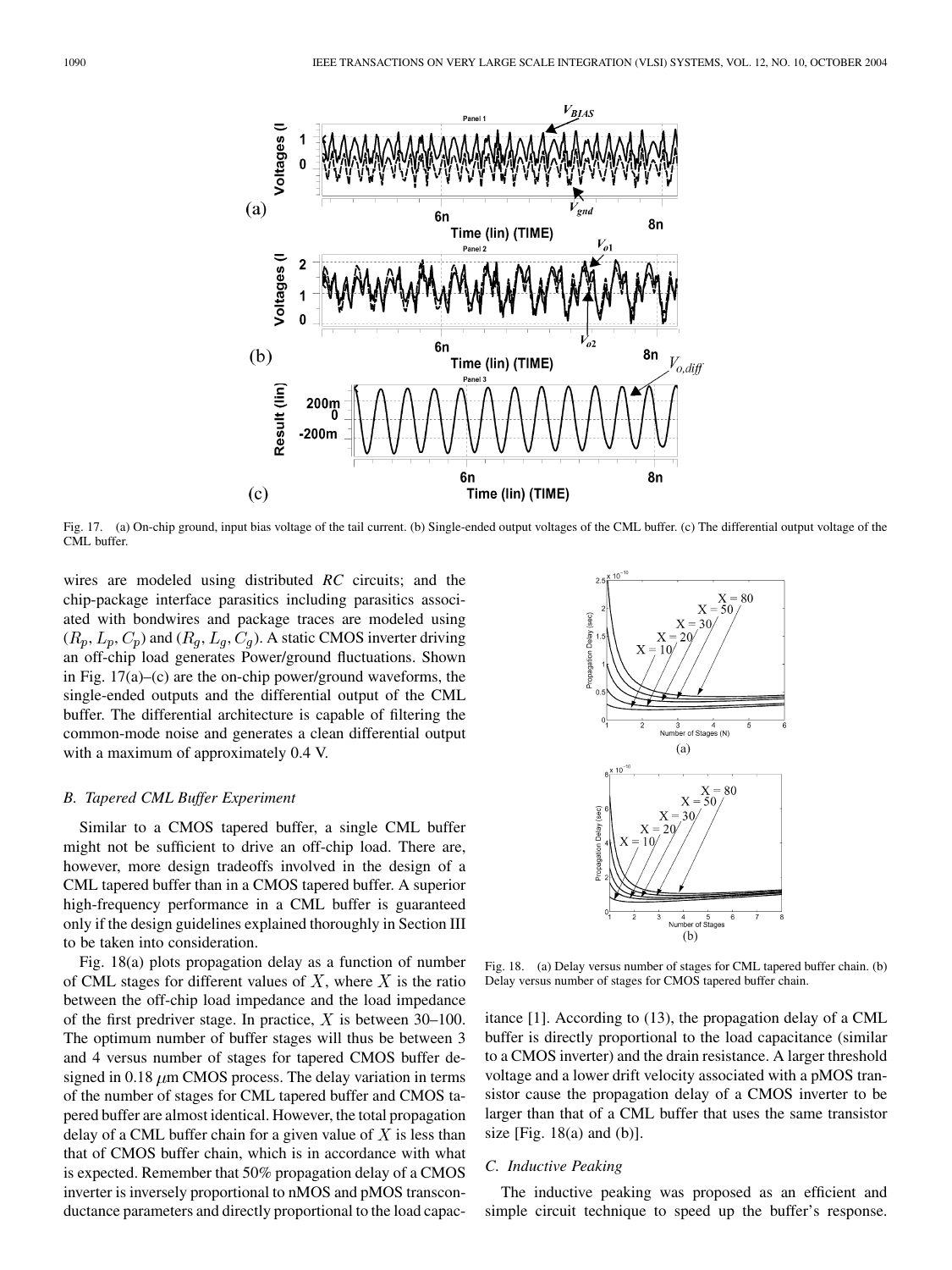

Fig. 17. (a) On-chip ground, input bias voltage of the tail current. (b) Single-ended output voltages of the CML buffer. (c) The differential output voltage of the CML buffer.

wires are modeled using distributed *RC* circuits; and the chip-package interface parasitics including parasitics associated with bondwires and package traces are modeled using  $(R_p, L_p, C_p)$  and  $(R_q, L_q, C_q)$ . A static CMOS inverter driving an off-chip load generates Power/ground fluctuations. Shown in Fig. 17(a)–(c) are the on-chip power/ground waveforms, the single-ended outputs and the differential output of the CML buffer. The differential architecture is capable of filtering the common-mode noise and generates a clean differential output with a maximum of approximately 0.4 V.

#### *B. Tapered CML Buffer Experiment*

Similar to a CMOS tapered buffer, a single CML buffer might not be sufficient to drive an off-chip load. There are, however, more design tradeoffs involved in the design of a CML tapered buffer than in a CMOS tapered buffer. A superior high-frequency performance in a CML buffer is guaranteed only if the design guidelines explained thoroughly in Section III to be taken into consideration.

Fig. 18(a) plots propagation delay as a function of number of CML stages for different values of X, where X is the ratio between the off-chip load impedance and the load impedance of the first predriver stage. In practice, X is between  $30-100$ . The optimum number of buffer stages will thus be between 3 and 4 versus number of stages for tapered CMOS buffer designed in 0.18  $\mu$ m CMOS process. The delay variation in terms of the number of stages for CML tapered buffer and CMOS tapered buffer are almost identical. However, the total propagation delay of a CML buffer chain for a given value of  $X$  is less than that of CMOS buffer chain, which is in accordance with what is expected. Remember that 50% propagation delay of a CMOS inverter is inversely proportional to nMOS and pMOS transconductance parameters and directly proportional to the load capac-



Fig. 18. (a) Delay versus number of stages for CML tapered buffer chain. (b) Delay versus number of stages for CMOS tapered buffer chain.

itance [[1\]](#page-11-0). According to (13), the propagation delay of a CML buffer is directly proportional to the load capacitance (similar to a CMOS inverter) and the drain resistance. A larger threshold voltage and a lower drift velocity associated with a pMOS transistor cause the propagation delay of a CMOS inverter to be larger than that of a CML buffer that uses the same transistor size [Fig.  $18(a)$  and  $(b)$ ].

## *C. Inductive Peaking*

The inductive peaking was proposed as an efficient and simple circuit technique to speed up the buffer's response.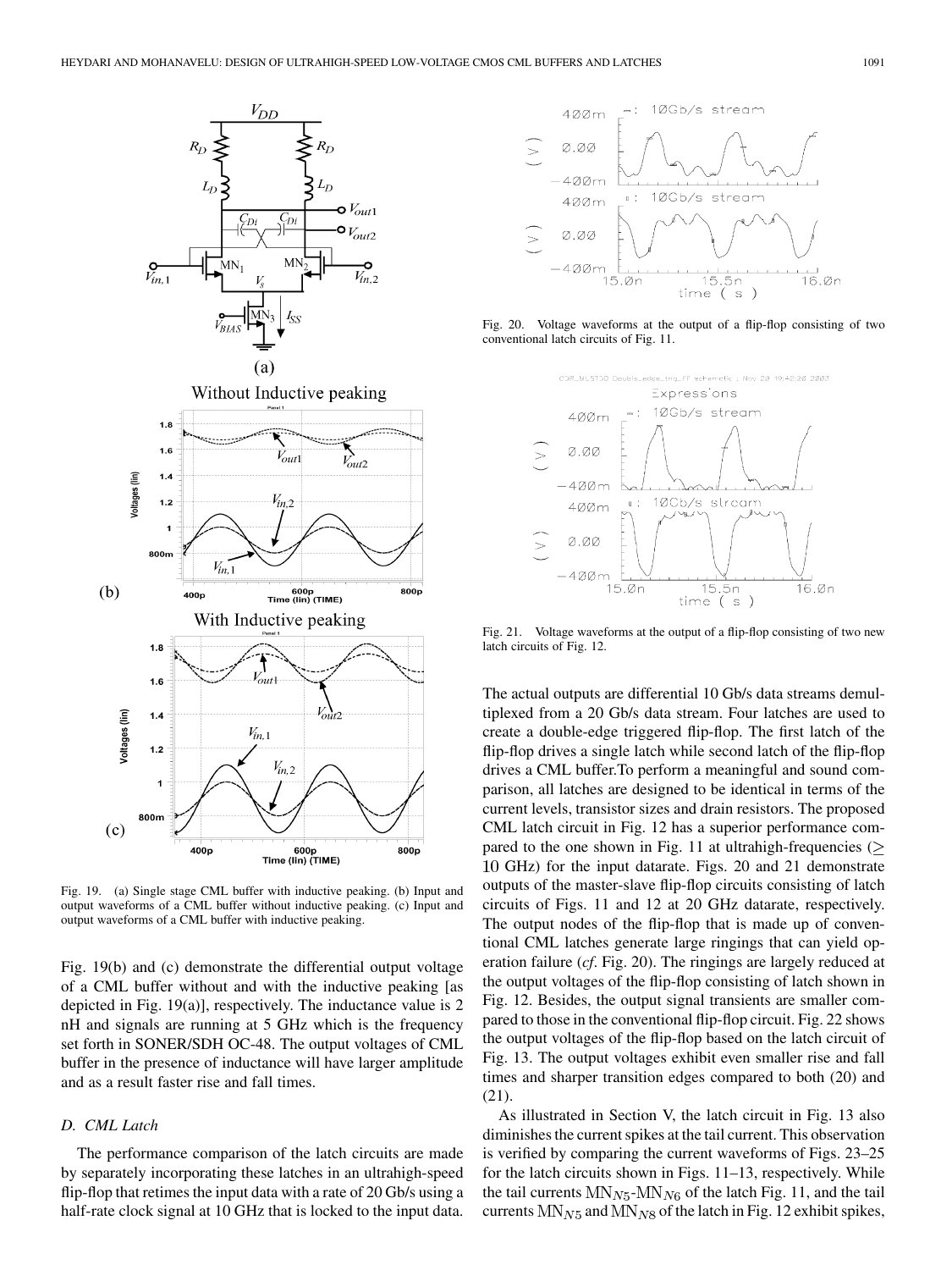

Fig. 19. (a) Single stage CML buffer with inductive peaking. (b) Input and output waveforms of a CML buffer without inductive peaking. (c) Input and output waveforms of a CML buffer with inductive peaking.

Fig. 19(b) and (c) demonstrate the differential output voltage of a CML buffer without and with the inductive peaking [as depicted in Fig. 19(a)], respectively. The inductance value is 2 nH and signals are running at 5 GHz which is the frequency set forth in SONER/SDH OC-48. The output voltages of CML buffer in the presence of inductance will have larger amplitude and as a result faster rise and fall times.

## *D. CML Latch*

The performance comparison of the latch circuits are made by separately incorporating these latches in an ultrahigh-speed flip-flop that retimes the input data with a rate of 20 Gb/s using a half-rate clock signal at 10 GHz that is locked to the input data.



Fig. 20. Voltage waveforms at the output of a flip-flop consisting of two conventional latch circuits of Fig. 11.



Fig. 21. Voltage waveforms at the output of a flip-flop consisting of two new latch circuits of Fig. 12.

The actual outputs are differential 10 Gb/s data streams demultiplexed from a 20 Gb/s data stream. Four latches are used to create a double-edge triggered flip-flop. The first latch of the flip-flop drives a single latch while second latch of the flip-flop drives a CML buffer.To perform a meaningful and sound comparison, all latches are designed to be identical in terms of the current levels, transistor sizes and drain resistors. The proposed CML latch circuit in Fig. 12 has a superior performance compared to the one shown in Fig. 11 at ultrahigh-frequencies  $($ GHz) for the input datarate. Figs. 20 and 21 demonstrate outputs of the master-slave flip-flop circuits consisting of latch circuits of Figs. 11 and 12 at 20 GHz datarate, respectively. The output nodes of the flip-flop that is made up of conventional CML latches generate large ringings that can yield operation failure (*cf*. Fig. 20). The ringings are largely reduced at the output voltages of the flip-flop consisting of latch shown in Fig. 12. Besides, the output signal transients are smaller compared to those in the conventional flip-flop circuit. Fig. 22 shows the output voltages of the flip-flop based on the latch circuit of Fig. 13. The output voltages exhibit even smaller rise and fall times and sharper transition edges compared to both (20) and (21).

As illustrated in Section V, the latch circuit in Fig. 13 also diminishes the current spikes at the tail current. This observation is verified by comparing the current waveforms of Figs. 23–25 for the latch circuits shown in Figs. 11–13, respectively. While the tail currents  $MN_{N5}$ - $MN_{N6}$  of the latch Fig. 11, and the tail currents  $MN_{N5}$  and  $MN_{N8}$  of the latch in Fig. 12 exhibit spikes,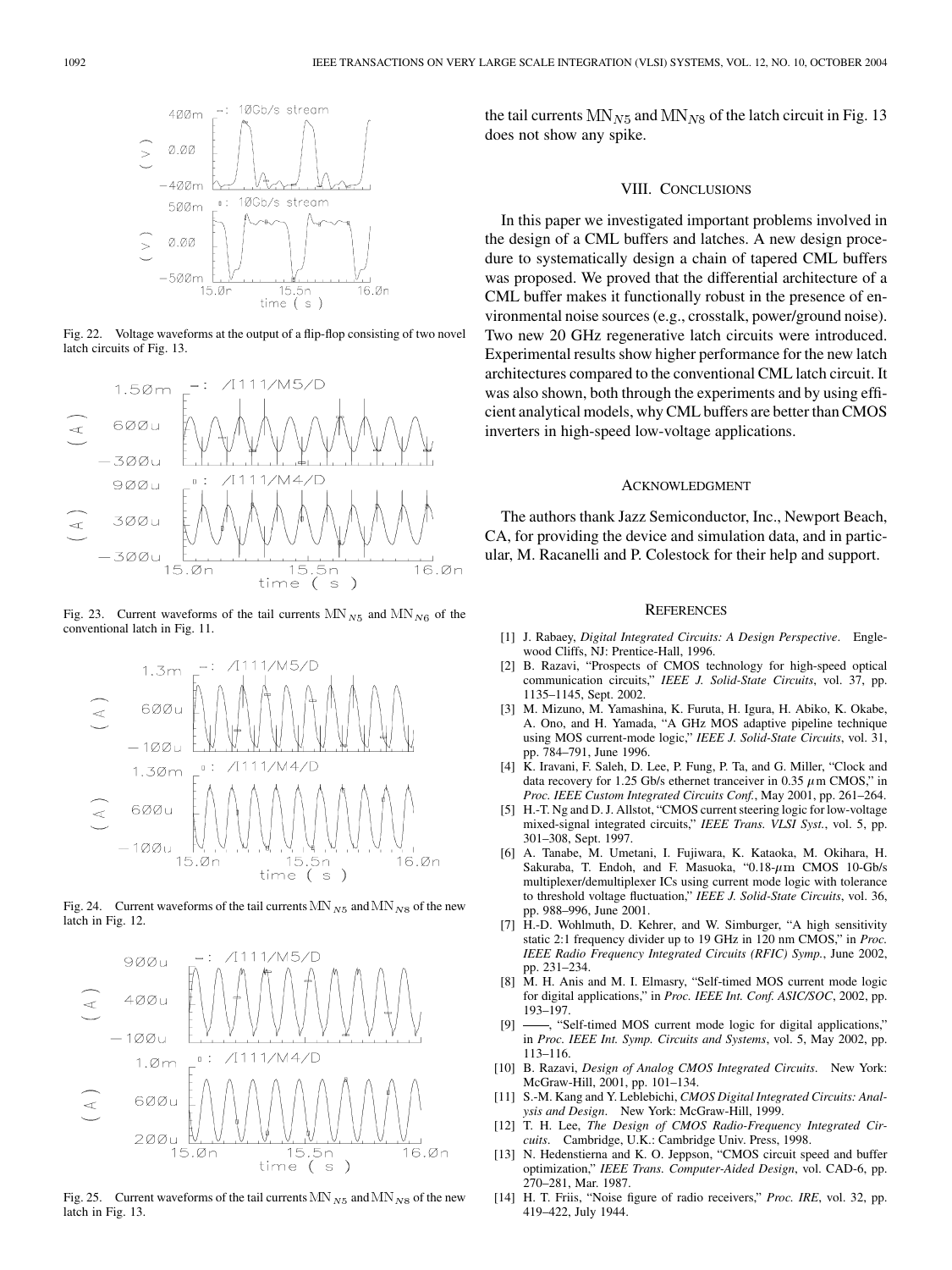<span id="page-11-0"></span>





Fig. 23. Current waveforms of the tail currents  $MN_{N5}$  and  $MN_{N6}$  of the conventional latch in Fig. 11.







Fig. 25. Current waveforms of the tail currents  $MN_{N5}$  and  $MN_{N8}$  of the new latch in Fig. 13.

the tail currents  $MN_{N5}$  and  $MN_{N8}$  of the latch circuit in Fig. 13 does not show any spike.

#### VIII. CONCLUSIONS

In this paper we investigated important problems involved in the design of a CML buffers and latches. A new design procedure to systematically design a chain of tapered CML buffers was proposed. We proved that the differential architecture of a CML buffer makes it functionally robust in the presence of environmental noise sources (e.g., crosstalk, power/ground noise). Two new 20 GHz regenerative latch circuits were introduced. Experimental results show higher performance for the new latch architectures compared to the conventional CML latch circuit. It was also shown, both through the experiments and by using efficient analytical models, why CML buffers are better than CMOS inverters in high-speed low-voltage applications.

#### ACKNOWLEDGMENT

The authors thank Jazz Semiconductor, Inc., Newport Beach, CA, for providing the device and simulation data, and in particular, M. Racanelli and P. Colestock for their help and support.

#### **REFERENCES**

- [1] J. Rabaey, *Digital Integrated Circuits: A Design Perspective*. Englewood Cliffs, NJ: Prentice-Hall, 1996.
- [2] B. Razavi, "Prospects of CMOS technology for high-speed optical communication circuits," *IEEE J. Solid-State Circuits*, vol. 37, pp. 1135–1145, Sept. 2002.
- [3] M. Mizuno, M. Yamashina, K. Furuta, H. Igura, H. Abiko, K. Okabe, A. Ono, and H. Yamada, "A GHz MOS adaptive pipeline technique using MOS current-mode logic," *IEEE J. Solid-State Circuits*, vol. 31, pp. 784–791, June 1996.
- [4] K. Iravani, F. Saleh, D. Lee, P. Fung, P. Ta, and G. Miller, "Clock and data recovery for 1.25 Gb/s ethernet tranceiver in 0.35  $\mu$ m CMOS," in *Proc. IEEE Custom Integrated Circuits Conf.*, May 2001, pp. 261–264.
- [5] H.-T. Ng and D. J. Allstot, "CMOS current steering logic for low-voltage mixed-signal integrated circuits," *IEEE Trans. VLSI Syst.*, vol. 5, pp. 301–308, Sept. 1997.
- [6] A. Tanabe, M. Umetani, I. Fujiwara, K. Kataoka, M. Okihara, H. Sakuraba, T. Endoh, and F. Masuoka, " $0.18 - \mu m$  CMOS 10-Gb/s multiplexer/demultiplexer ICs using current mode logic with tolerance to threshold voltage fluctuation," *IEEE J. Solid-State Circuits*, vol. 36, pp. 988–996, June 2001.
- [7] H.-D. Wohlmuth, D. Kehrer, and W. Simburger, "A high sensitivity static 2:1 frequency divider up to 19 GHz in 120 nm CMOS," in *Proc. IEEE Radio Frequency Integrated Circuits (RFIC) Symp.*, June 2002, pp. 231–234.
- [8] M. H. Anis and M. I. Elmasry, "Self-timed MOS current mode logic for digital applications," in *Proc. IEEE Int. Conf. ASIC/SOC*, 2002, pp. 193–197.
- [9] -, "Self-timed MOS current mode logic for digital applications," in *Proc. IEEE Int. Symp. Circuits and Systems*, vol. 5, May 2002, pp. 113–116.
- [10] B. Razavi, *Design of Analog CMOS Integrated Circuits*. New York: McGraw-Hill, 2001, pp. 101–134.
- [11] S.-M. Kang and Y. Leblebichi, *CMOS Digital Integrated Circuits: Analysis and Design*. New York: McGraw-Hill, 1999.
- [12] T. H. Lee, *The Design of CMOS Radio-Frequency Integrated Circuits*. Cambridge, U.K.: Cambridge Univ. Press, 1998.
- [13] N. Hedenstierna and K. O. Jeppson, "CMOS circuit speed and buffer optimization," *IEEE Trans. Computer-Aided Design*, vol. CAD-6, pp. 270–281, Mar. 1987.
- [14] H. T. Friis, "Noise figure of radio receivers," *Proc. IRE*, vol. 32, pp. 419–422, July 1944.